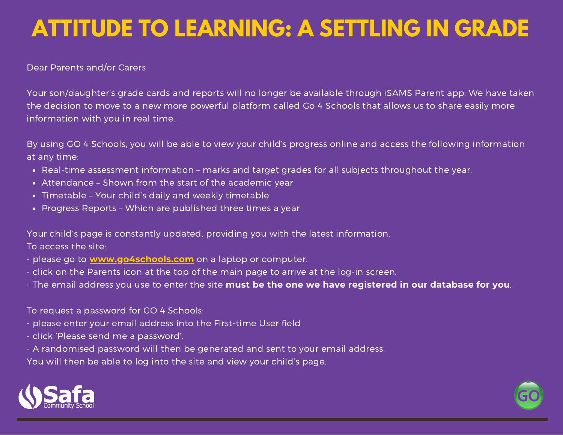# **ATTITUDE TO LEARNING: A SETTLING IN GRADE**

Dear Parents and/or Carers

Your son/daughter's grade cards and reports will no longer be available through iSAMS Parent app. We have taken the decision to move to a new more powerful platform called Go 4 Schools that allows us to share easily more information with you in real time.

By using GO 4 Schools, you will be able to view your child's progress online and access the following information at any time:

- Real-time assessment information marks and target grades for all subjects throughout the year.
- Attendance Shown from the start of the academic year
- Timetable Your child's daily and weekly timetable
- Progress Reports Which are published three times a year

Your child's page is constantly updated, providing you with the latest information. To access the site:

- please go to **www.go4schools.com** on a laptop or computer.
- click on the Parents icon at the top of the main page to arrive at the log-in screen.
- The email address you use to enter the site **must be the one we have registered in our database for you**.

To request a password for GO 4 Schools:

- please enter your email address into the First-time User field
- click 'Please send me a password'.
- A randomised password will then be generated and sent to your email address.

You will then be able to log into the site and view your child's page.



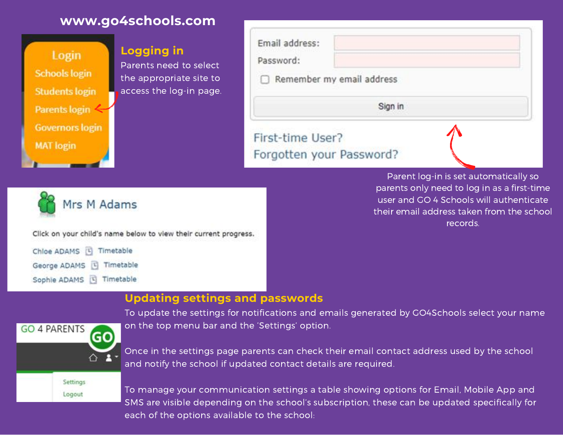



#### **Updating settings and passwords**



To update the settings for notifications and emails generated by GO4Schools select your name on the top menu bar and the 'Settings' option.

Once in the settings page parents can check their email contact address used by the school and notify the school if updated contact details are required.

To manage your communication settings a table showing options for Email, Mobile App and SMS are visible depending on the school's subscription, these can be updated specifically for each of the options available to the school: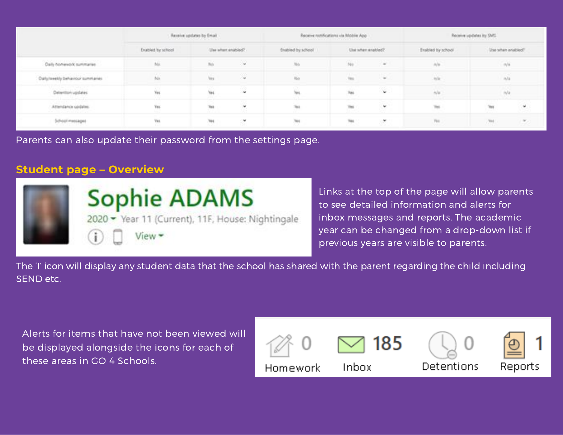|                                                                                                      | Receive updates by Email               |                                            |                                                        |                                                           | Receive rooffications via Mobile App                                         | Receive updates by SMS<br>and the property of the control of the control of |                                                          |                                                                    |                                            |
|------------------------------------------------------------------------------------------------------|----------------------------------------|--------------------------------------------|--------------------------------------------------------|-----------------------------------------------------------|------------------------------------------------------------------------------|-----------------------------------------------------------------------------|----------------------------------------------------------|--------------------------------------------------------------------|--------------------------------------------|
|                                                                                                      | <b>Enabled</b> for school              |                                            | Use when enabled?<br>the company's company's company's | Disabled by achool<br>and the contract of the contract of | Use when analysis?<br>the property of the control of the control of the con- |                                                                             | Enabled by school<br>and the control of the state of the | Use when enabled?<br>the property of the control of the control of |                                            |
| Daily homework summarize                                                                             | . .<br>Mé                              | <b>STATISTICS</b><br>an an an<br>100<br>No |                                                        | 760                                                       | 310                                                                          | <b>SILL</b>                                                                 | Ala                                                      | n/a                                                                |                                            |
| Daily/meetly behaviour summaries                                                                     | ia.                                    | THE                                        | 湯                                                      | Ma                                                        | m<br>THE                                                                     | 1987                                                                        | . .<br>in (i)                                            | <b>ALL</b>                                                         |                                            |
| the company of the company of the<br><b>Oxtantism updates</b><br>and and compared to provide a state | .<br>tis.<br>n na<br><b>STATISTICS</b> | Yes<br>.                                   |                                                        | Tes.                                                      | No.                                                                          | V.                                                                          | A/a                                                      | h/s                                                                |                                            |
| ulinita va ett<br>Attendance spokers<br><b>AND THE REAL PROPERTY</b>                                 | a con<br>Tes.<br>.<br><b>British</b>   | Tes<br>.                                   | $\ddot{\mathbf{v}}$                                    | Ter<br><b>COMPANY</b>                                     | m                                                                            | U,                                                                          | The                                                      | Terr                                                               | $\mathbf{w}^{\prime}$<br><b>CONTRACTOR</b> |
| Saffrasall importantes                                                                               | Yes.                                   | THE                                        | ×                                                      | THE                                                       | Tes.                                                                         | $\mathcal{L}(\mathcal{H})$ .                                                | Fire                                                     | $70\%$                                                             | $\mathcal{P}_{\mathcal{L}}$                |

Parents can also update their password from the settings page.

### **Student page – Overview**



Links at the top of the page will allow parents to see detailed information and alerts for inbox messages and reports. The academic year can be changed from a drop-down list if previous years are visible to parents.

The 'I' icon will display any student data that the school has shared with the parent regarding the child including SEND etc.

Alerts for items that have not been viewed will be displayed alongside the icons for each of these areas in GO 4 Schools.

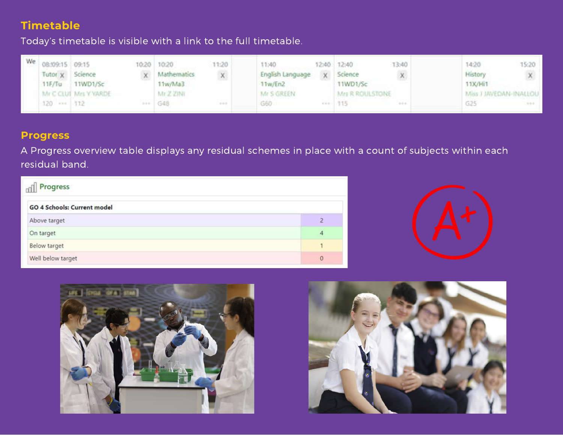## **Timetable**

Today's timetable is visible with a link to the full timetable.

| We. | 08:09:15 09:15<br>Tutor x Science | 11F/Tu 11WD1/Sc       | 10:20 10:20<br>x Mathematics<br>11w/Ma3 | 11:20<br>$\mathbb{X}$ | 11:40:<br>English Language<br>11w/En2 | 13:40<br>12:40 12:40<br>x Science<br>11WD1/Sc |             | 15:20<br>14:20<br>History<br>11X/Hi1   |  |
|-----|-----------------------------------|-----------------------|-----------------------------------------|-----------------------|---------------------------------------|-----------------------------------------------|-------------|----------------------------------------|--|
|     | 120 --- 112                       | Mr C CLUÍ Mrs Y YARDE | Mr. Z. ZINE<br>648.                     | della di              | Mr S GREEN<br>G60                     | Mrs R ROULSTONE<br>$-1.15$                    | $1 - 1 + 1$ | Miss J JAVEDAN-INALLOU<br>G25<br>319.0 |  |

#### **Progress**

A Progress overview table displays any residual schemes in place with a count of subjects within each residual band.

| dil Progress                |                  |
|-----------------------------|------------------|
| GO 4 Schools: Current model |                  |
| Above target                |                  |
| On target                   | $\boldsymbol{A}$ |
| <b>Below target</b>         |                  |
| Well below target           | $\circ$          |